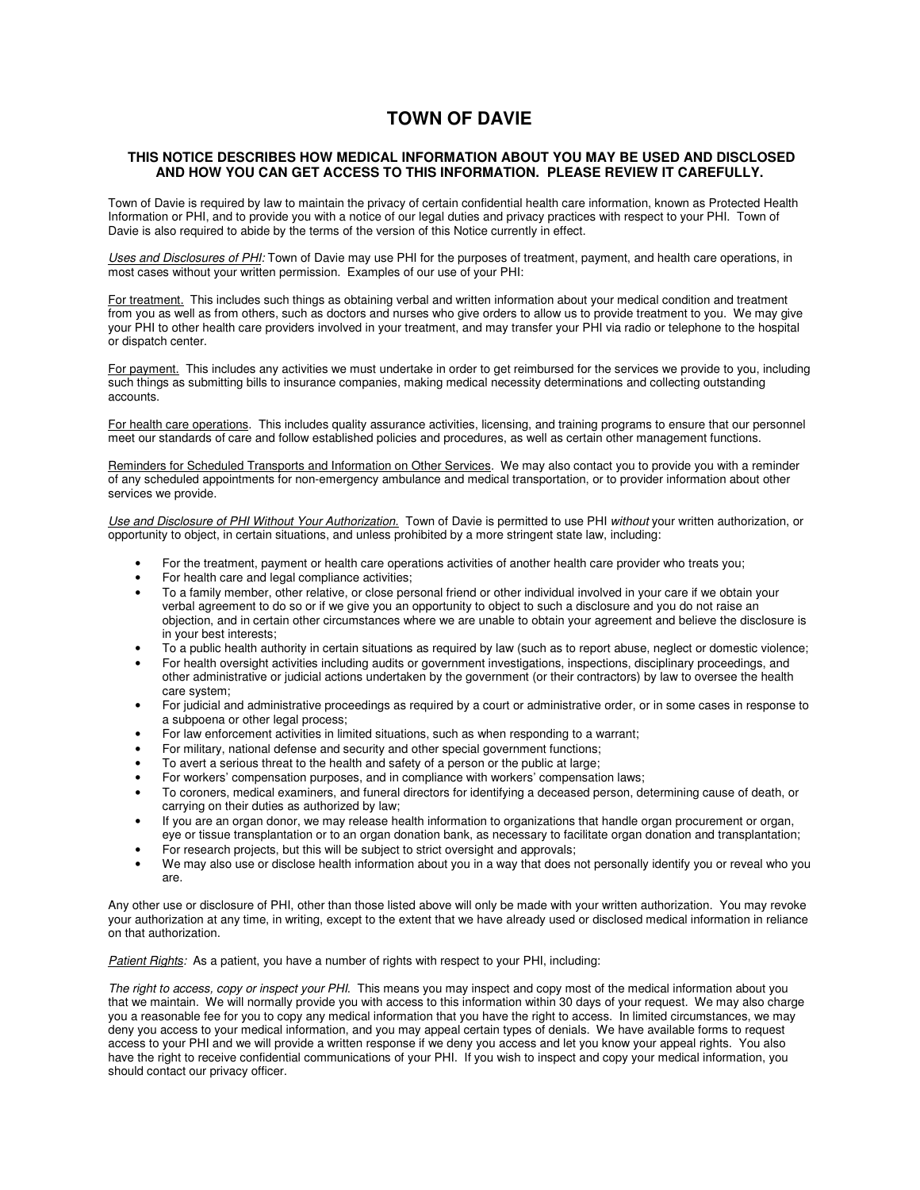## **TOWN OF DAVIE**

## **THIS NOTICE DESCRIBES HOW MEDICAL INFORMATION ABOUT YOU MAY BE USED AND DISCLOSED AND HOW YOU CAN GET ACCESS TO THIS INFORMATION. PLEASE REVIEW IT CAREFULLY.**

Town of Davie is required by law to maintain the privacy of certain confidential health care information, known as Protected Health Information or PHI, and to provide you with a notice of our legal duties and privacy practices with respect to your PHI. Town of Davie is also required to abide by the terms of the version of this Notice currently in effect.

Uses and Disclosures of PHI: Town of Davie may use PHI for the purposes of treatment, payment, and health care operations, in most cases without your written permission. Examples of our use of your PHI:

For treatment. This includes such things as obtaining verbal and written information about your medical condition and treatment from you as well as from others, such as doctors and nurses who give orders to allow us to provide treatment to you. We may give your PHI to other health care providers involved in your treatment, and may transfer your PHI via radio or telephone to the hospital or dispatch center.

For payment. This includes any activities we must undertake in order to get reimbursed for the services we provide to you, including such things as submitting bills to insurance companies, making medical necessity determinations and collecting outstanding accounts.

For health care operations. This includes quality assurance activities, licensing, and training programs to ensure that our personnel meet our standards of care and follow established policies and procedures, as well as certain other management functions.

Reminders for Scheduled Transports and Information on Other Services. We may also contact you to provide you with a reminder of any scheduled appointments for non-emergency ambulance and medical transportation, or to provider information about other services we provide.

Use and Disclosure of PHI Without Your Authorization. Town of Davie is permitted to use PHI without your written authorization, or opportunity to object, in certain situations, and unless prohibited by a more stringent state law, including:

- For the treatment, payment or health care operations activities of another health care provider who treats you;
- For health care and legal compliance activities;
- To a family member, other relative, or close personal friend or other individual involved in your care if we obtain your verbal agreement to do so or if we give you an opportunity to object to such a disclosure and you do not raise an objection, and in certain other circumstances where we are unable to obtain your agreement and believe the disclosure is in your best interests;
- To a public health authority in certain situations as required by law (such as to report abuse, neglect or domestic violence;
- For health oversight activities including audits or government investigations, inspections, disciplinary proceedings, and other administrative or judicial actions undertaken by the government (or their contractors) by law to oversee the health care system;
- For judicial and administrative proceedings as required by a court or administrative order, or in some cases in response to a subpoena or other legal process:
- For law enforcement activities in limited situations, such as when responding to a warrant;
- For military, national defense and security and other special government functions;
- To avert a serious threat to the health and safety of a person or the public at large;
- For workers' compensation purposes, and in compliance with workers' compensation laws;
- To coroners, medical examiners, and funeral directors for identifying a deceased person, determining cause of death, or carrying on their duties as authorized by law;
- If you are an organ donor, we may release health information to organizations that handle organ procurement or organ, eye or tissue transplantation or to an organ donation bank, as necessary to facilitate organ donation and transplantation;
- For research projects, but this will be subject to strict oversight and approvals;
- We may also use or disclose health information about you in a way that does not personally identify you or reveal who you are.

Any other use or disclosure of PHI, other than those listed above will only be made with your written authorization. You may revoke your authorization at any time, in writing, except to the extent that we have already used or disclosed medical information in reliance on that authorization.

Patient Rights: As a patient, you have a number of rights with respect to your PHI, including:

The right to access, copy or inspect your PHI. This means you may inspect and copy most of the medical information about you that we maintain. We will normally provide you with access to this information within 30 days of your request. We may also charge you a reasonable fee for you to copy any medical information that you have the right to access. In limited circumstances, we may deny you access to your medical information, and you may appeal certain types of denials. We have available forms to request access to your PHI and we will provide a written response if we deny you access and let you know your appeal rights. You also have the right to receive confidential communications of your PHI. If you wish to inspect and copy your medical information, you should contact our privacy officer.